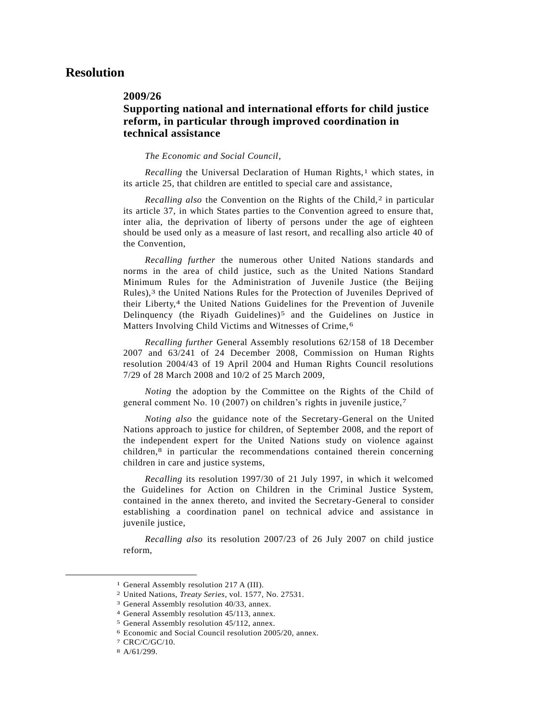## **Resolution**

## **2009/26**

## **Supporting national and international efforts for child justice reform, in particular through improved coordination in technical assistance**

*The Economic and Social Council*,

*Recalling* the Universal Declaration of Human Rights,<sup>1</sup> which states, in its article 25, that children are entitled to special care and assistance,

Recalling also the Convention on the Rights of the Child,<sup>2</sup> in particular its article 37, in which States parties to the Convention agreed to ensure that, inter alia, the deprivation of liberty of persons under the age of eighteen should be used only as a measure of last resort, and recalling also article 40 of the Convention,

*Recalling further* the numerous other United Nations standards and norms in the area of child justice, such as the United Nations Standard Minimum Rules for the Administration of Juvenile Justice (the Beijing Rules),<sup>3</sup> the United Nations Rules for the Protection of Juveniles Deprived of their Liberty,<sup>4</sup> the United Nations Guidelines for the Prevention of Juvenile Delinquency (the Riyadh Guidelines)<sup>5</sup> and the Guidelines on Justice in Matters Involving Child Victims and Witnesses of Crime, 6

*Recalling further* General Assembly resolutions 62/158 of 18 December 2007 and 63/241 of 24 December 2008, Commission on Human Rights resolution 2004/43 of 19 April 2004 and Human Rights Council resolutions 7/29 of 28 March 2008 and 10/2 of 25 March 2009,

*Noting* the adoption by the Committee on the Rights of the Child of general comment No. 10 (2007) on children's rights in juvenile justice,7

*Noting also* the guidance note of the Secretary-General on the United Nations approach to justice for children, of September 2008, and the report of the independent expert for the United Nations study on violence against children,8 in particular the recommendations contained therein concerning children in care and justice systems,

*Recalling* its resolution 1997/30 of 21 July 1997, in which it welcomed the Guidelines for Action on Children in the Criminal Justice System, contained in the annex thereto, and invited the Secretary-General to consider establishing a coordination panel on technical advice and assistance in juvenile justice,

*Recalling also* its resolution 2007/23 of 26 July 2007 on child justice reform,

l

<sup>&</sup>lt;sup>1</sup> General Assembly resolution 217 A (III).

<sup>2</sup> United Nations, *Treaty Series*, vol. 1577, No. 27531.

<sup>3</sup> General Assembly resolution 40/33, annex.

<sup>4</sup> General Assembly resolution 45/113, annex.

<sup>5</sup> General Assembly resolution 45/112, annex.

<sup>6</sup> Economic and Social Council resolution 2005/20, annex.

<sup>7</sup> CRC/C/GC/10.

<sup>8</sup> A/61/299.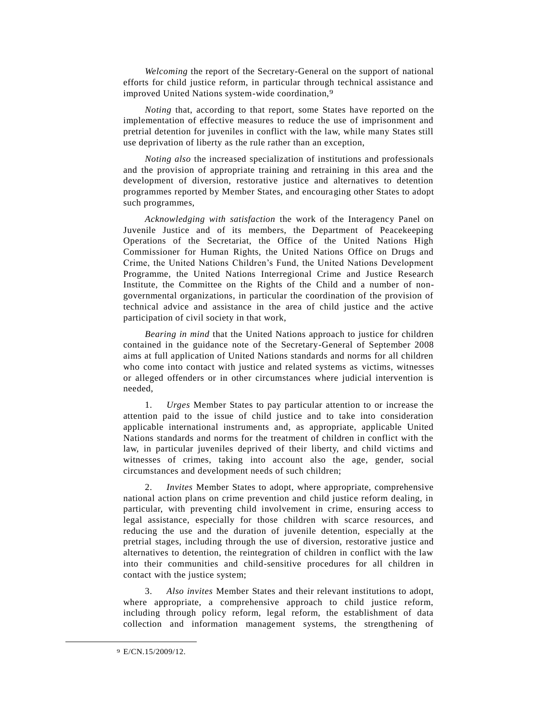*Welcoming* the report of the Secretary-General on the support of national efforts for child justice reform, in particular through technical assistance and improved United Nations system-wide coordination,9

*Noting* that, according to that report, some States have reported on the implementation of effective measures to reduce the use of imprisonment and pretrial detention for juveniles in conflict with the law, while many States still use deprivation of liberty as the rule rather than an exception,

*Noting also* the increased specialization of institutions and professionals and the provision of appropriate training and retraining in this area and the development of diversion, restorative justice and alternatives to detention programmes reported by Member States, and encouraging other States to adopt such programmes,

*Acknowledging with satisfaction* the work of the Interagency Panel on Juvenile Justice and of its members, the Department of Peacekeeping Operations of the Secretariat, the Office of the United Nations High Commissioner for Human Rights, the United Nations Office on Drugs and Crime, the United Nations Children's Fund, the United Nations Development Programme, the United Nations Interregional Crime and Justice Research Institute, the Committee on the Rights of the Child and a number of nongovernmental organizations, in particular the coordination of the provision of technical advice and assistance in the area of child justice and the active participation of civil society in that work,

*Bearing in mind* that the United Nations approach to justice for children contained in the guidance note of the Secretary-General of September 2008 aims at full application of United Nations standards and norms for all children who come into contact with justice and related systems as victims, witnesses or alleged offenders or in other circumstances where judicial intervention is needed,

1. *Urges* Member States to pay particular attention to or increase the attention paid to the issue of child justice and to take into consideration applicable international instruments and, as appropriate, applicable United Nations standards and norms for the treatment of children in conflict with the law, in particular juveniles deprived of their liberty, and child victims and witnesses of crimes, taking into account also the age, gender, social circumstances and development needs of such children;

2. *Invites* Member States to adopt, where appropriate, comprehensive national action plans on crime prevention and child justice reform dealing, in particular, with preventing child involvement in crime, ensuring access to legal assistance, especially for those children with scarce resources, and reducing the use and the duration of juvenile detention, especially at the pretrial stages, including through the use of diversion, restorative justice and alternatives to detention, the reintegration of children in conflict with the law into their communities and child-sensitive procedures for all children in contact with the justice system;

3. *Also invites* Member States and their relevant institutions to adopt, where appropriate, a comprehensive approach to child justice reform, including through policy reform, legal reform, the establishment of data collection and information management systems, the strengthening of

 $\overline{\phantom{a}}$ 

<sup>9</sup> E/CN.15/2009/12.